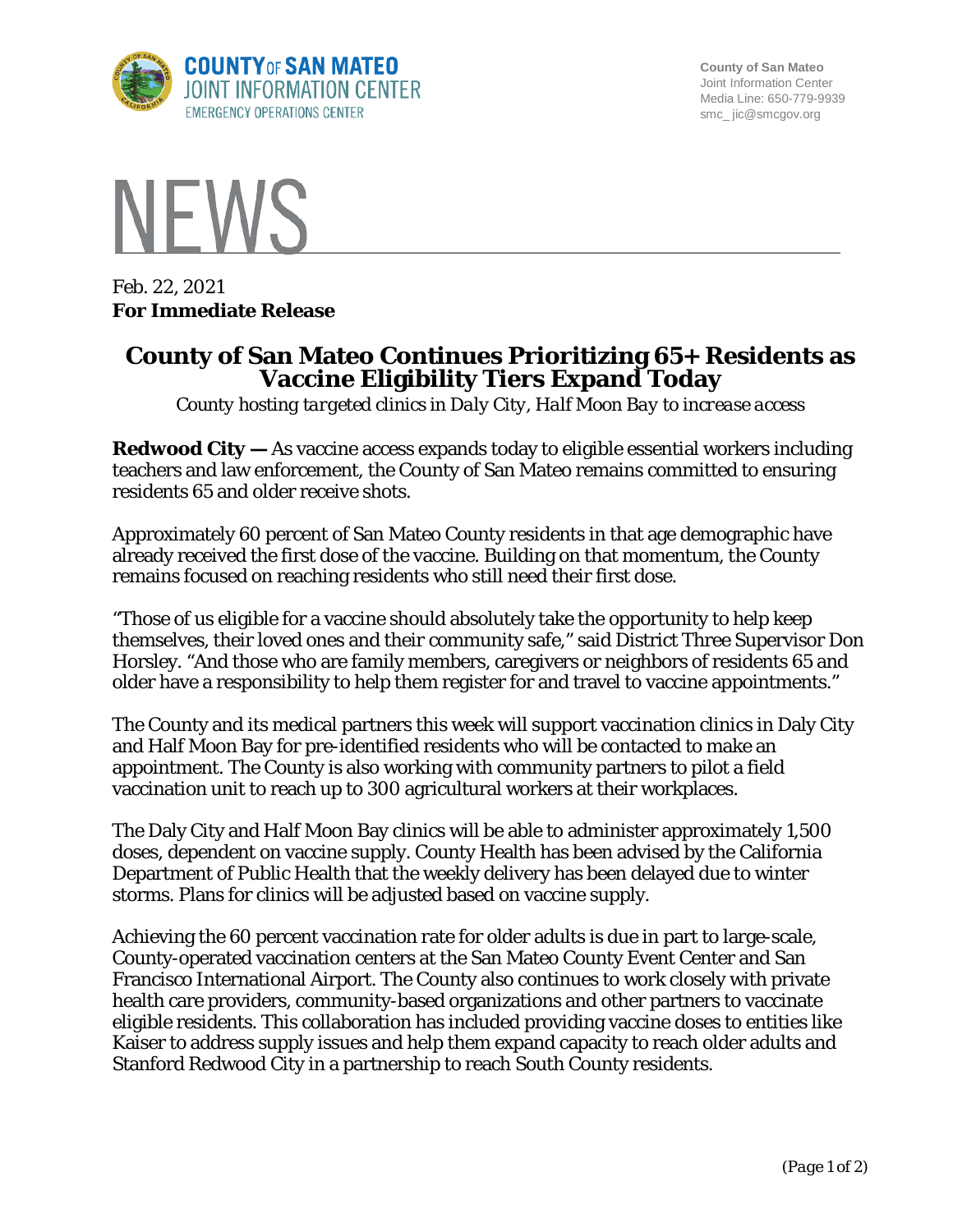

**County of San Mateo** Joint Information Center Media Line: 650-779-9939 smc\_ jic@smcgov.org



Feb. 22, 2021 **For Immediate Release**

## **County of San Mateo Continues Prioritizing 65+ Residents as Vaccine Eligibility Tiers Expand Today**

*County hosting targeted clinics in Daly City, Half Moon Bay to increase access*

**Redwood City —** As vaccine access expands today to eligible essential workers including teachers and law enforcement, the County of San Mateo remains committed to ensuring residents 65 and older receive shots.

Approximately 60 percent of San Mateo County residents in that age demographic have already received the first dose of the vaccine. Building on that momentum, the County remains focused on reaching residents who still need their first dose.

"Those of us eligible for a vaccine should absolutely take the opportunity to help keep themselves, their loved ones and their community safe," said District Three Supervisor Don Horsley. "And those who are family members, caregivers or neighbors of residents 65 and older have a responsibility to help them register for and travel to vaccine appointments."

The County and its medical partners this week will support vaccination clinics in Daly City and Half Moon Bay for pre-identified residents who will be contacted to make an appointment. The County is also working with community partners to pilot a field vaccination unit to reach up to 300 agricultural workers at their workplaces.

The Daly City and Half Moon Bay clinics will be able to administer approximately 1,500 doses, dependent on vaccine supply. County Health has been advised by the California Department of Public Health that the weekly delivery has been delayed due to winter storms. Plans for clinics will be adjusted based on vaccine supply.

Achieving the 60 percent vaccination rate for older adults is due in part to large-scale, County-operated vaccination centers at the San Mateo County Event Center and San Francisco International Airport. The County also continues to work closely with private health care providers, community-based organizations and other partners to vaccinate eligible residents. This collaboration has included providing vaccine doses to entities like Kaiser to address supply issues and help them expand capacity to reach older adults and Stanford Redwood City in a partnership to reach South County residents.